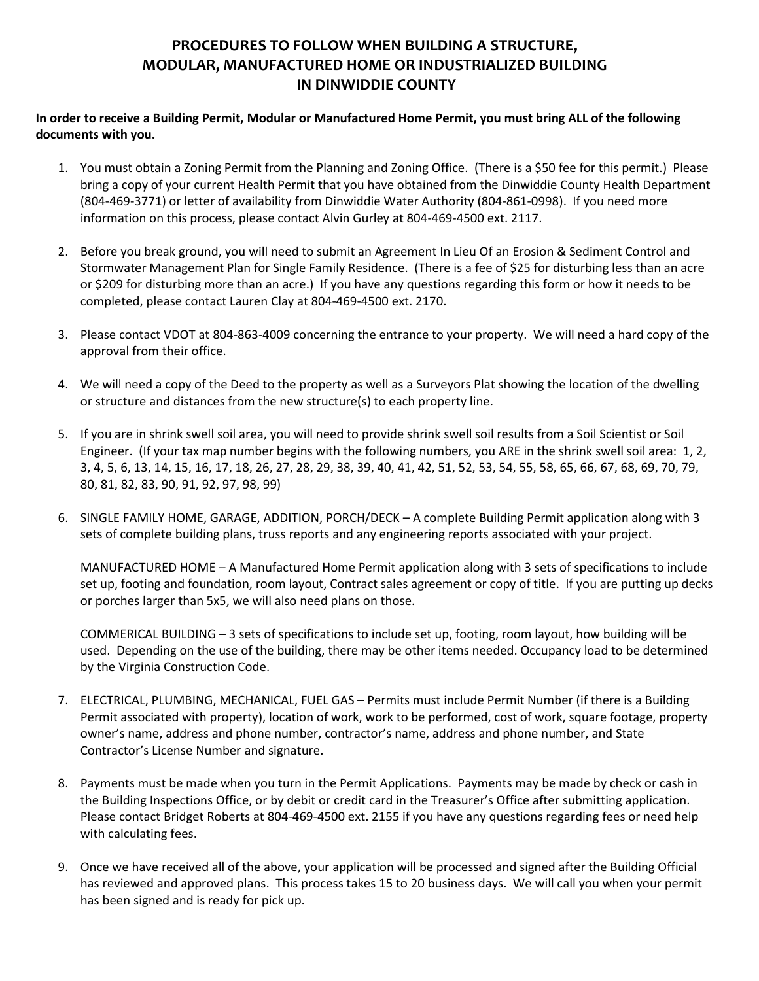## **PROCEDURES TO FOLLOW WHEN BUILDING A STRUCTURE, MODULAR, MANUFACTURED HOME OR INDUSTRIALIZED BUILDING IN DINWIDDIE COUNTY**

**In order to receive a Building Permit, Modular or Manufactured Home Permit, you must bring ALL of the following documents with you.** 

- 1. You must obtain a Zoning Permit from the Planning and Zoning Office. (There is a \$50 fee for this permit.) Please bring a copy of your current Health Permit that you have obtained from the Dinwiddie County Health Department (804-469-3771) or letter of availability from Dinwiddie Water Authority (804-861-0998). If you need more information on this process, please contact Alvin Gurley at 804-469-4500 ext. 2117.
- 2. Before you break ground, you will need to submit an Agreement In Lieu Of an Erosion & Sediment Control and Stormwater Management Plan for Single Family Residence. (There is a fee of \$25 for disturbing less than an acre or \$209 for disturbing more than an acre.) If you have any questions regarding this form or how it needs to be completed, please contact Lauren Clay at 804-469-4500 ext. 2170.
- 3. Please contact VDOT at 804-863-4009 concerning the entrance to your property. We will need a hard copy of the approval from their office.
- 4. We will need a copy of the Deed to the property as well as a Surveyors Plat showing the location of the dwelling or structure and distances from the new structure(s) to each property line.
- 5. If you are in shrink swell soil area, you will need to provide shrink swell soil results from a Soil Scientist or Soil Engineer. (If your tax map number begins with the following numbers, you ARE in the shrink swell soil area: 1, 2, 3, 4, 5, 6, 13, 14, 15, 16, 17, 18, 26, 27, 28, 29, 38, 39, 40, 41, 42, 51, 52, 53, 54, 55, 58, 65, 66, 67, 68, 69, 70, 79, 80, 81, 82, 83, 90, 91, 92, 97, 98, 99)
- 6. SINGLE FAMILY HOME, GARAGE, ADDITION, PORCH/DECK A complete Building Permit application along with 3 sets of complete building plans, truss reports and any engineering reports associated with your project.

MANUFACTURED HOME – A Manufactured Home Permit application along with 3 sets of specifications to include set up, footing and foundation, room layout, Contract sales agreement or copy of title. If you are putting up decks or porches larger than 5x5, we will also need plans on those.

COMMERICAL BUILDING – 3 sets of specifications to include set up, footing, room layout, how building will be used. Depending on the use of the building, there may be other items needed. Occupancy load to be determined by the Virginia Construction Code.

- 7. ELECTRICAL, PLUMBING, MECHANICAL, FUEL GAS Permits must include Permit Number (if there is a Building Permit associated with property), location of work, work to be performed, cost of work, square footage, property owner's name, address and phone number, contractor's name, address and phone number, and State Contractor's License Number and signature.
- 8. Payments must be made when you turn in the Permit Applications. Payments may be made by check or cash in the Building Inspections Office, or by debit or credit card in the Treasurer's Office after submitting application. Please contact Bridget Roberts at 804-469-4500 ext. 2155 if you have any questions regarding fees or need help with calculating fees.
- 9. Once we have received all of the above, your application will be processed and signed after the Building Official has reviewed and approved plans. This process takes 15 to 20 business days. We will call you when your permit has been signed and is ready for pick up.